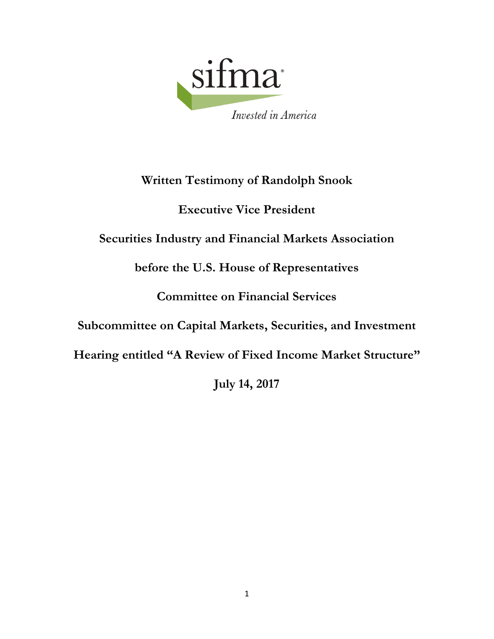

# **Written Testimony of Randolph Snook**

# **Executive Vice President**

# **Securities Industry and Financial Markets Association**

**before the U.S. House of Representatives**

# **Committee on Financial Services**

# **Subcommittee on Capital Markets, Securities, and Investment**

**Hearing entitled "A Review of Fixed Income Market Structure"**

**July 14, 2017**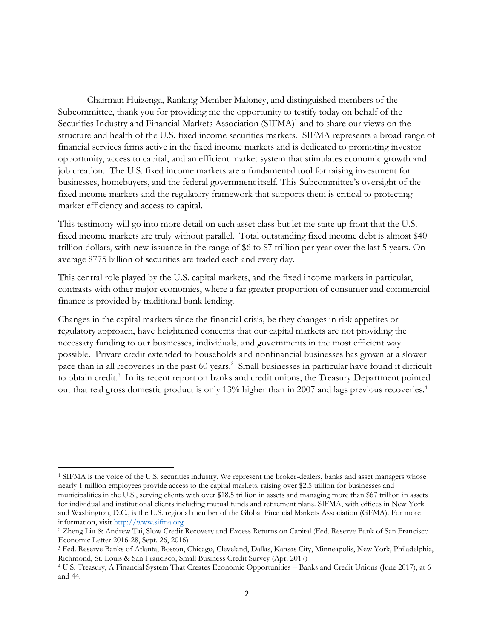Chairman Huizenga, Ranking Member Maloney, and distinguished members of the Subcommittee, thank you for providing me the opportunity to testify today on behalf of the Securities Industry and Financial Markets Association (SIFMA)<sup>1</sup> and to share our views on the structure and health of the U.S. fixed income securities markets. SIFMA represents a broad range of financial services firms active in the fixed income markets and is dedicated to promoting investor opportunity, access to capital, and an efficient market system that stimulates economic growth and job creation. The U.S. fixed income markets are a fundamental tool for raising investment for businesses, homebuyers, and the federal government itself. This Subcommittee's oversight of the fixed income markets and the regulatory framework that supports them is critical to protecting market efficiency and access to capital.

This testimony will go into more detail on each asset class but let me state up front that the U.S. fixed income markets are truly without parallel. Total outstanding fixed income debt is almost \$40 trillion dollars, with new issuance in the range of \$6 to \$7 trillion per year over the last 5 years. On average \$775 billion of securities are traded each and every day.

This central role played by the U.S. capital markets, and the fixed income markets in particular, contrasts with other major economies, where a far greater proportion of consumer and commercial finance is provided by traditional bank lending.

Changes in the capital markets since the financial crisis, be they changes in risk appetites or regulatory approach, have heightened concerns that our capital markets are not providing the necessary funding to our businesses, individuals, and governments in the most efficient way possible. Private credit extended to households and nonfinancial businesses has grown at a slower pace than in all recoveries in the past 60 years.<sup>2</sup> Small businesses in particular have found it difficult to obtain credit.<sup>3</sup> In its recent report on banks and credit unions, the Treasury Department pointed out that real gross domestic product is only 13% higher than in 2007 and lags previous recoveries. 4

<sup>1</sup> SIFMA is the voice of the U.S. securities industry. We represent the broker-dealers, banks and asset managers whose nearly 1 million employees provide access to the capital markets, raising over \$2.5 trillion for businesses and municipalities in the U.S., serving clients with over \$18.5 trillion in assets and managing more than \$67 trillion in assets for individual and institutional clients including mutual funds and retirement plans. SIFMA, with offices in New York and Washington, D.C., is the U.S. regional member of the Global Financial Markets Association (GFMA). For more information, visit [http://www.sifma.org](http://www.sifma.org/)

<sup>2</sup> Zheng Liu & Andrew Tai, Slow Credit Recovery and Excess Returns on Capital (Fed. Reserve Bank of San Francisco Economic Letter 2016-28, Sept. 26, 2016)

<sup>3</sup> Fed. Reserve Banks of Atlanta, Boston, Chicago, Cleveland, Dallas, Kansas City, Minneapolis, New York, Philadelphia, Richmond, St. Louis & San Francisco, Small Business Credit Survey (Apr. 2017)

<sup>4</sup> U.S. Treasury, A Financial System That Creates Economic Opportunities – Banks and Credit Unions (June 2017), at 6 and 44.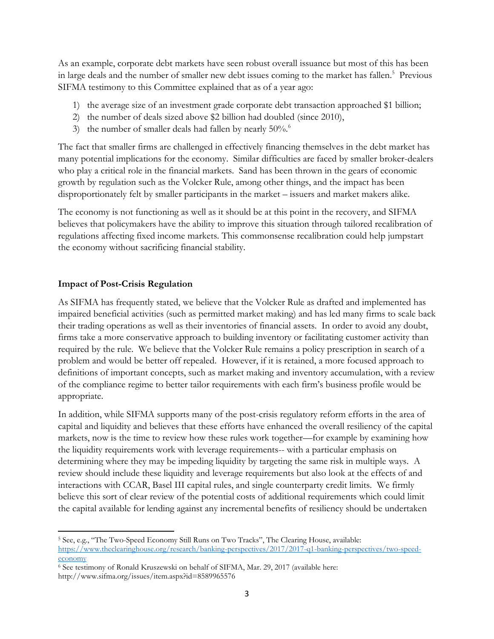As an example, corporate debt markets have seen robust overall issuance but most of this has been in large deals and the number of smaller new debt issues coming to the market has fallen.<sup>5</sup> Previous SIFMA testimony to this Committee explained that as of a year ago:

- 1) the average size of an investment grade corporate debt transaction approached \$1 billion;
- 2) the number of deals sized above \$2 billion had doubled (since 2010),
- 3) the number of smaller deals had fallen by nearly 50%.<sup>6</sup>

The fact that smaller firms are challenged in effectively financing themselves in the debt market has many potential implications for the economy. Similar difficulties are faced by smaller broker-dealers who play a critical role in the financial markets. Sand has been thrown in the gears of economic growth by regulation such as the Volcker Rule, among other things, and the impact has been disproportionately felt by smaller participants in the market – issuers and market makers alike.

The economy is not functioning as well as it should be at this point in the recovery, and SIFMA believes that policymakers have the ability to improve this situation through tailored recalibration of regulations affecting fixed income markets. This commonsense recalibration could help jumpstart the economy without sacrificing financial stability.

## **Impact of Post-Crisis Regulation**

 $\overline{\phantom{a}}$ 

As SIFMA has frequently stated, we believe that the Volcker Rule as drafted and implemented has impaired beneficial activities (such as permitted market making) and has led many firms to scale back their trading operations as well as their inventories of financial assets. In order to avoid any doubt, firms take a more conservative approach to building inventory or facilitating customer activity than required by the rule. We believe that the Volcker Rule remains a policy prescription in search of a problem and would be better off repealed. However, if it is retained, a more focused approach to definitions of important concepts, such as market making and inventory accumulation, with a review of the compliance regime to better tailor requirements with each firm's business profile would be appropriate.

In addition, while SIFMA supports many of the post-crisis regulatory reform efforts in the area of capital and liquidity and believes that these efforts have enhanced the overall resiliency of the capital markets, now is the time to review how these rules work together—for example by examining how the liquidity requirements work with leverage requirements-- with a particular emphasis on determining where they may be impeding liquidity by targeting the same risk in multiple ways. A review should include these liquidity and leverage requirements but also look at the effects of and interactions with CCAR, Basel III capital rules, and single counterparty credit limits. We firmly believe this sort of clear review of the potential costs of additional requirements which could limit the capital available for lending against any incremental benefits of resiliency should be undertaken

<sup>5</sup> See, e.g., "The Two-Speed Economy Still Runs on Two Tracks", The Clearing House, available: [https://www.theclearinghouse.org/research/banking-perspectives/2017/2017-q1-banking-perspectives/two-speed](https://www.theclearinghouse.org/research/banking-perspectives/2017/2017-q1-banking-perspectives/two-speed-economy)[economy](https://www.theclearinghouse.org/research/banking-perspectives/2017/2017-q1-banking-perspectives/two-speed-economy)

<sup>6</sup> See testimony of Ronald Kruszewski on behalf of SIFMA, Mar. 29, 2017 (available here: http://www.sifma.org/issues/item.aspx?id=8589965576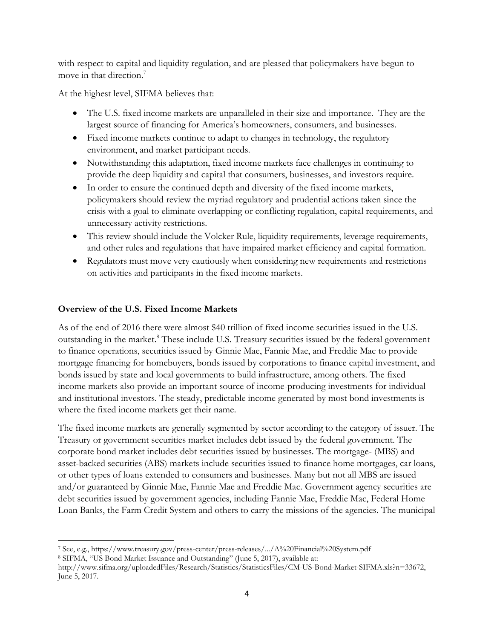with respect to capital and liquidity regulation, and are pleased that policymakers have begun to move in that direction. 7

At the highest level, SIFMA believes that:

- The U.S. fixed income markets are unparalleled in their size and importance. They are the largest source of financing for America's homeowners, consumers, and businesses.
- Fixed income markets continue to adapt to changes in technology, the regulatory environment, and market participant needs.
- Notwithstanding this adaptation, fixed income markets face challenges in continuing to provide the deep liquidity and capital that consumers, businesses, and investors require.
- In order to ensure the continued depth and diversity of the fixed income markets, policymakers should review the myriad regulatory and prudential actions taken since the crisis with a goal to eliminate overlapping or conflicting regulation, capital requirements, and unnecessary activity restrictions.
- This review should include the Volcker Rule, liquidity requirements, leverage requirements, and other rules and regulations that have impaired market efficiency and capital formation.
- Regulators must move very cautiously when considering new requirements and restrictions on activities and participants in the fixed income markets.

### **Overview of the U.S. Fixed Income Markets**

As of the end of 2016 there were almost \$40 trillion of fixed income securities issued in the U.S. outstanding in the market.<sup>8</sup> These include U.S. Treasury securities issued by the federal government to finance operations, securities issued by Ginnie Mae, Fannie Mae, and Freddie Mac to provide mortgage financing for homebuyers, bonds issued by corporations to finance capital investment, and bonds issued by state and local governments to build infrastructure, among others. The fixed income markets also provide an important source of income-producing investments for individual and institutional investors. The steady, predictable income generated by most bond investments is where the fixed income markets get their name.

The fixed income markets are generally segmented by sector according to the category of issuer. The Treasury or government securities market includes debt issued by the federal government. The corporate bond market includes debt securities issued by businesses. The mortgage- (MBS) and asset-backed securities (ABS) markets include securities issued to finance home mortgages, car loans, or other types of loans extended to consumers and businesses. Many but not all MBS are issued and/or guaranteed by Ginnie Mae, Fannie Mae and Freddie Mac. Government agency securities are debt securities issued by government agencies, including Fannie Mae, Freddie Mac, Federal Home Loan Banks, the Farm Credit System and others to carry the missions of the agencies. The municipal

<sup>7</sup> See, e.g., https://www.treasury.gov/press-center/press-releases/.../A%20Financial%20System.pdf

<sup>8</sup> SIFMA, "US Bond Market Issuance and Outstanding" (June 5, 2017), available at:

http://www.sifma.org/uploadedFiles/Research/Statistics/StatisticsFiles/CM-US-Bond-Market-SIFMA.xls?n=33672, June 5, 2017.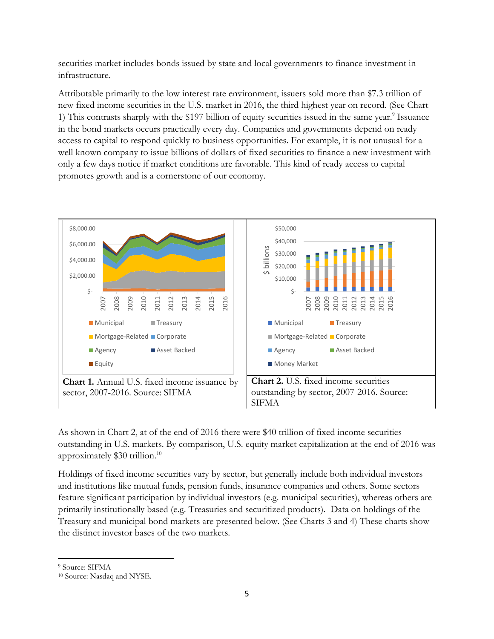securities market includes bonds issued by state and local governments to finance investment in infrastructure.

Attributable primarily to the low interest rate environment, issuers sold more than \$7.3 trillion of new fixed income securities in the U.S. market in 2016, the third highest year on record. (See Chart 1) This contrasts sharply with the \$197 billion of equity securities issued in the same year.<sup>9</sup> Issuance in the bond markets occurs practically every day. Companies and governments depend on ready access to capital to respond quickly to business opportunities. For example, it is not unusual for a well known company to issue billions of dollars of fixed securities to finance a new investment with only a few days notice if market conditions are favorable. This kind of ready access to capital promotes growth and is a cornerstone of our economy.



As shown in Chart 2, at of the end of 2016 there were \$40 trillion of fixed income securities outstanding in U.S. markets. By comparison, U.S. equity market capitalization at the end of 2016 was approximately \$30 trillion.<sup>10</sup>

Holdings of fixed income securities vary by sector, but generally include both individual investors and institutions like mutual funds, pension funds, insurance companies and others. Some sectors feature significant participation by individual investors (e.g. municipal securities), whereas others are primarily institutionally based (e.g. Treasuries and securitized products). Data on holdings of the Treasury and municipal bond markets are presented below. (See Charts 3 and 4) These charts show the distinct investor bases of the two markets.

<sup>9</sup> Source: SIFMA

<sup>10</sup> Source: Nasdaq and NYSE.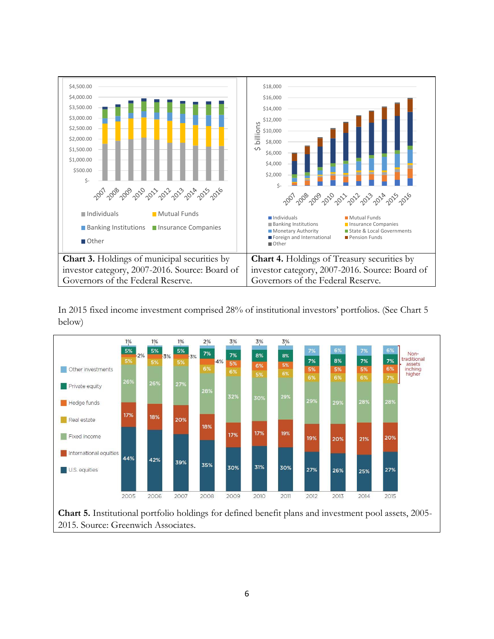



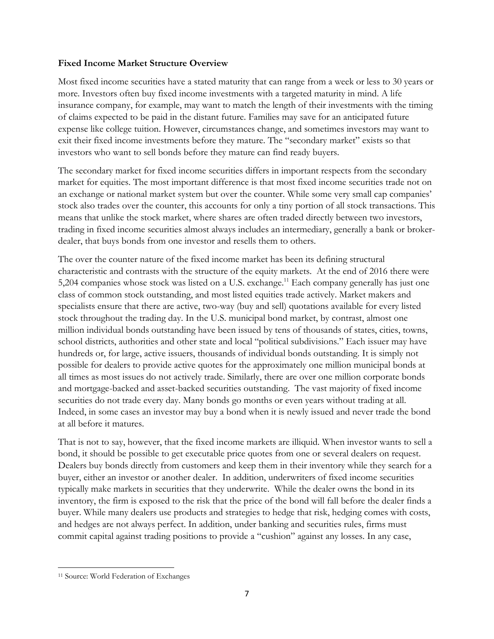#### **Fixed Income Market Structure Overview**

Most fixed income securities have a stated maturity that can range from a week or less to 30 years or more. Investors often buy fixed income investments with a targeted maturity in mind. A life insurance company, for example, may want to match the length of their investments with the timing of claims expected to be paid in the distant future. Families may save for an anticipated future expense like college tuition. However, circumstances change, and sometimes investors may want to exit their fixed income investments before they mature. The "secondary market" exists so that investors who want to sell bonds before they mature can find ready buyers.

The secondary market for fixed income securities differs in important respects from the secondary market for equities. The most important difference is that most fixed income securities trade not on an exchange or national market system but over the counter. While some very small cap companies' stock also trades over the counter, this accounts for only a tiny portion of all stock transactions. This means that unlike the stock market, where shares are often traded directly between two investors, trading in fixed income securities almost always includes an intermediary, generally a bank or brokerdealer, that buys bonds from one investor and resells them to others.

The over the counter nature of the fixed income market has been its defining structural characteristic and contrasts with the structure of the equity markets. At the end of 2016 there were 5,204 companies whose stock was listed on a U.S. exchange.<sup>11</sup> Each company generally has just one class of common stock outstanding, and most listed equities trade actively. Market makers and specialists ensure that there are active, two-way (buy and sell) quotations available for every listed stock throughout the trading day. In the U.S. municipal bond market, by contrast, almost one million individual bonds outstanding have been issued by tens of thousands of states, cities, towns, school districts, authorities and other state and local "political subdivisions." Each issuer may have hundreds or, for large, active issuers, thousands of individual bonds outstanding. It is simply not possible for dealers to provide active quotes for the approximately one million municipal bonds at all times as most issues do not actively trade. Similarly, there are over one million corporate bonds and mortgage-backed and asset-backed securities outstanding. The vast majority of fixed income securities do not trade every day. Many bonds go months or even years without trading at all. Indeed, in some cases an investor may buy a bond when it is newly issued and never trade the bond at all before it matures.

That is not to say, however, that the fixed income markets are illiquid. When investor wants to sell a bond, it should be possible to get executable price quotes from one or several dealers on request. Dealers buy bonds directly from customers and keep them in their inventory while they search for a buyer, either an investor or another dealer. In addition, underwriters of fixed income securities typically make markets in securities that they underwrite. While the dealer owns the bond in its inventory, the firm is exposed to the risk that the price of the bond will fall before the dealer finds a buyer. While many dealers use products and strategies to hedge that risk, hedging comes with costs, and hedges are not always perfect. In addition, under banking and securities rules, firms must commit capital against trading positions to provide a "cushion" against any losses. In any case,

<sup>&</sup>lt;sup>11</sup> Source: World Federation of Exchanges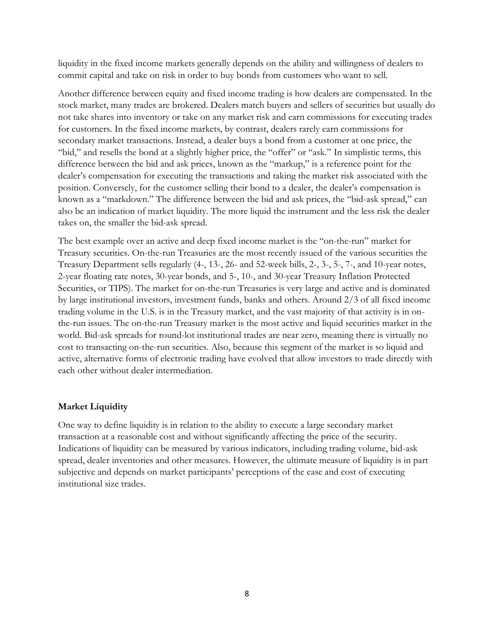liquidity in the fixed income markets generally depends on the ability and willingness of dealers to commit capital and take on risk in order to buy bonds from customers who want to sell.

Another difference between equity and fixed income trading is how dealers are compensated. In the stock market, many trades are brokered. Dealers match buyers and sellers of securities but usually do not take shares into inventory or take on any market risk and earn commissions for executing trades for customers. In the fixed income markets, by contrast, dealers rarely earn commissions for secondary market transactions. Instead, a dealer buys a bond from a customer at one price, the "bid," and resells the bond at a slightly higher price, the "offer" or "ask." In simplistic terms, this difference between the bid and ask prices, known as the "markup," is a reference point for the dealer's compensation for executing the transactions and taking the market risk associated with the position. Conversely, for the customer selling their bond to a dealer, the dealer's compensation is known as a "markdown." The difference between the bid and ask prices, the "bid-ask spread," can also be an indication of market liquidity. The more liquid the instrument and the less risk the dealer takes on, the smaller the bid-ask spread.

The best example over an active and deep fixed income market is the "on-the-run" market for Treasury securities. On-the-run Treasuries are the most recently issued of the various securities the Treasury Department sells regularly (4-, 13-, 26- and 52-week bills, 2-, 3-, 5-, 7-, and 10-year notes, 2-year floating rate notes, 30-year bonds, and 5-, 10-, and 30-year Treasury Inflation Protected Securities, or TIPS). The market for on-the-run Treasuries is very large and active and is dominated by large institutional investors, investment funds, banks and others. Around 2/3 of all fixed income trading volume in the U.S. is in the Treasury market, and the vast majority of that activity is in onthe-run issues. The on-the-run Treasury market is the most active and liquid securities market in the world. Bid-ask spreads for round-lot institutional trades are near zero, meaning there is virtually no cost to transacting on-the-run securities. Also, because this segment of the market is so liquid and active, alternative forms of electronic trading have evolved that allow investors to trade directly with each other without dealer intermediation.

#### **Market Liquidity**

One way to define liquidity is in relation to the ability to execute a large secondary market transaction at a reasonable cost and without significantly affecting the price of the security. Indications of liquidity can be measured by various indicators, including trading volume, bid-ask spread, dealer inventories and other measures. However, the ultimate measure of liquidity is in part subjective and depends on market participants' perceptions of the ease and cost of executing institutional size trades.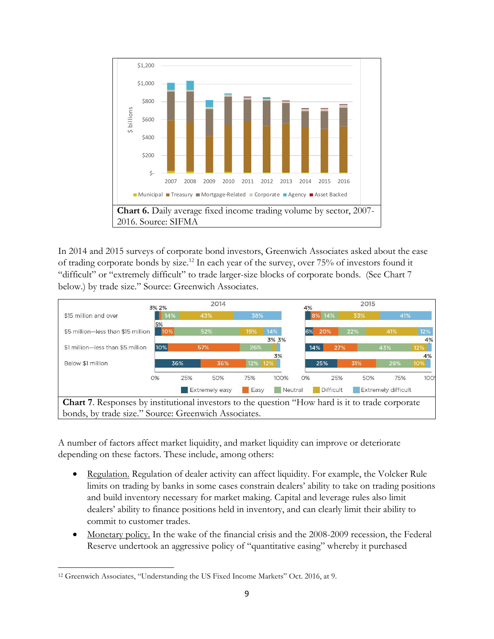

In 2014 and 2015 surveys of corporate bond investors, Greenwich Associates asked about the ease of trading corporate bonds by size.<sup>12</sup> In each year of the survey, over 75% of investors found it "difficult" or "extremely difficult" to trade larger-size blocks of corporate bonds. (See Chart 7 below.) by trade size." Source: Greenwich Associates.



**Chart 7**. Responses by institutional investors to the question "How hard is it to trade corporate bonds, by trade size." Source: Greenwich Associates.

A number of factors affect market liquidity, and market liquidity can improve or deteriorate depending on these factors. These include, among others:

- Regulation. Regulation of dealer activity can affect liquidity. For example, the Volcker Rule limits on trading by banks in some cases constrain dealers' ability to take on trading positions and build inventory necessary for market making. Capital and leverage rules also limit dealers' ability to finance positions held in inventory, and can clearly limit their ability to commit to customer trades.
- Monetary policy. In the wake of the financial crisis and the 2008-2009 recession, the Federal Reserve undertook an aggressive policy of "quantitative easing" whereby it purchased

 $\overline{\phantom{a}}$ <sup>12</sup> Greenwich Associates, "Understanding the US Fixed Income Markets" Oct. 2016, at 9.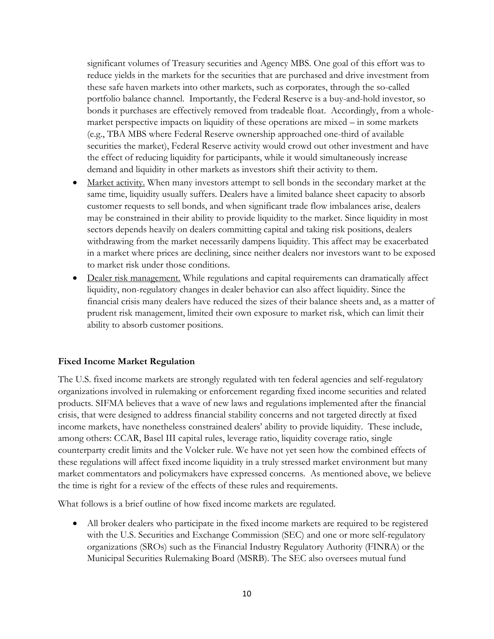significant volumes of Treasury securities and Agency MBS. One goal of this effort was to reduce yields in the markets for the securities that are purchased and drive investment from these safe haven markets into other markets, such as corporates, through the so-called portfolio balance channel. Importantly, the Federal Reserve is a buy-and-hold investor, so bonds it purchases are effectively removed from tradeable float. Accordingly, from a wholemarket perspective impacts on liquidity of these operations are mixed – in some markets (e.g., TBA MBS where Federal Reserve ownership approached one-third of available securities the market), Federal Reserve activity would crowd out other investment and have the effect of reducing liquidity for participants, while it would simultaneously increase demand and liquidity in other markets as investors shift their activity to them.

- Market activity. When many investors attempt to sell bonds in the secondary market at the same time, liquidity usually suffers. Dealers have a limited balance sheet capacity to absorb customer requests to sell bonds, and when significant trade flow imbalances arise, dealers may be constrained in their ability to provide liquidity to the market. Since liquidity in most sectors depends heavily on dealers committing capital and taking risk positions, dealers withdrawing from the market necessarily dampens liquidity. This affect may be exacerbated in a market where prices are declining, since neither dealers nor investors want to be exposed to market risk under those conditions.
- Dealer risk management. While regulations and capital requirements can dramatically affect liquidity, non-regulatory changes in dealer behavior can also affect liquidity. Since the financial crisis many dealers have reduced the sizes of their balance sheets and, as a matter of prudent risk management, limited their own exposure to market risk, which can limit their ability to absorb customer positions.

## **Fixed Income Market Regulation**

The U.S. fixed income markets are strongly regulated with ten federal agencies and self-regulatory organizations involved in rulemaking or enforcement regarding fixed income securities and related products. SIFMA believes that a wave of new laws and regulations implemented after the financial crisis, that were designed to address financial stability concerns and not targeted directly at fixed income markets, have nonetheless constrained dealers' ability to provide liquidity. These include, among others: CCAR, Basel III capital rules, leverage ratio, liquidity coverage ratio, single counterparty credit limits and the Volcker rule. We have not yet seen how the combined effects of these regulations will affect fixed income liquidity in a truly stressed market environment but many market commentators and policymakers have expressed concerns. As mentioned above, we believe the time is right for a review of the effects of these rules and requirements.

What follows is a brief outline of how fixed income markets are regulated.

• All broker dealers who participate in the fixed income markets are required to be registered with the U.S. Securities and Exchange Commission (SEC) and one or more self-regulatory organizations (SROs) such as the Financial Industry Regulatory Authority (FINRA) or the Municipal Securities Rulemaking Board (MSRB). The SEC also oversees mutual fund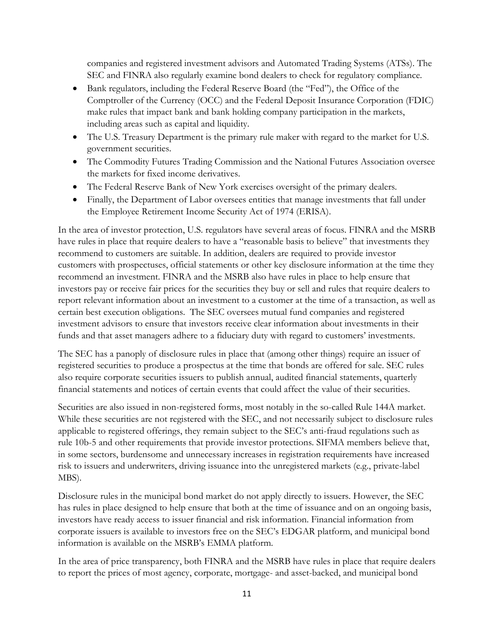companies and registered investment advisors and Automated Trading Systems (ATSs). The SEC and FINRA also regularly examine bond dealers to check for regulatory compliance.

- Bank regulators, including the Federal Reserve Board (the "Fed"), the Office of the Comptroller of the Currency (OCC) and the Federal Deposit Insurance Corporation (FDIC) make rules that impact bank and bank holding company participation in the markets, including areas such as capital and liquidity.
- The U.S. Treasury Department is the primary rule maker with regard to the market for U.S. government securities.
- The Commodity Futures Trading Commission and the National Futures Association oversee the markets for fixed income derivatives.
- The Federal Reserve Bank of New York exercises oversight of the primary dealers.
- Finally, the Department of Labor oversees entities that manage investments that fall under the Employee Retirement Income Security Act of 1974 (ERISA).

In the area of investor protection, U.S. regulators have several areas of focus. FINRA and the MSRB have rules in place that require dealers to have a "reasonable basis to believe" that investments they recommend to customers are suitable. In addition, dealers are required to provide investor customers with prospectuses, official statements or other key disclosure information at the time they recommend an investment. FINRA and the MSRB also have rules in place to help ensure that investors pay or receive fair prices for the securities they buy or sell and rules that require dealers to report relevant information about an investment to a customer at the time of a transaction, as well as certain best execution obligations. The SEC oversees mutual fund companies and registered investment advisors to ensure that investors receive clear information about investments in their funds and that asset managers adhere to a fiduciary duty with regard to customers' investments.

The SEC has a panoply of disclosure rules in place that (among other things) require an issuer of registered securities to produce a prospectus at the time that bonds are offered for sale. SEC rules also require corporate securities issuers to publish annual, audited financial statements, quarterly financial statements and notices of certain events that could affect the value of their securities.

Securities are also issued in non-registered forms, most notably in the so-called Rule 144A market. While these securities are not registered with the SEC, and not necessarily subject to disclosure rules applicable to registered offerings, they remain subject to the SEC's anti-fraud regulations such as rule 10b-5 and other requirements that provide investor protections. SIFMA members believe that, in some sectors, burdensome and unnecessary increases in registration requirements have increased risk to issuers and underwriters, driving issuance into the unregistered markets (e.g., private-label MBS).

Disclosure rules in the municipal bond market do not apply directly to issuers. However, the SEC has rules in place designed to help ensure that both at the time of issuance and on an ongoing basis, investors have ready access to issuer financial and risk information. Financial information from corporate issuers is available to investors free on the SEC's EDGAR platform, and municipal bond information is available on the MSRB's EMMA platform.

In the area of price transparency, both FINRA and the MSRB have rules in place that require dealers to report the prices of most agency, corporate, mortgage- and asset-backed, and municipal bond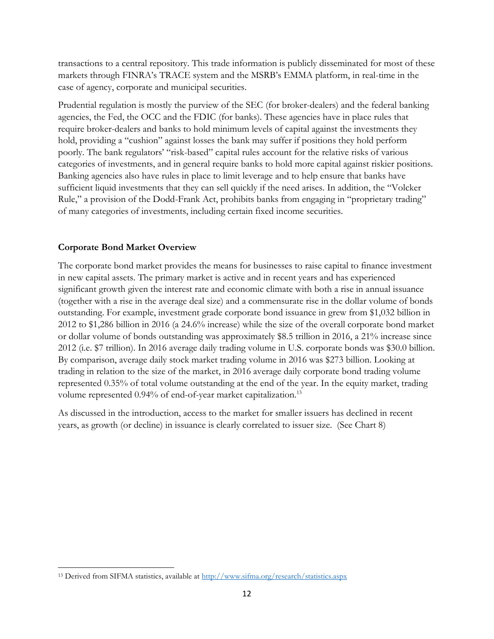transactions to a central repository. This trade information is publicly disseminated for most of these markets through FINRA's TRACE system and the MSRB's EMMA platform, in real-time in the case of agency, corporate and municipal securities.

Prudential regulation is mostly the purview of the SEC (for broker-dealers) and the federal banking agencies, the Fed, the OCC and the FDIC (for banks). These agencies have in place rules that require broker-dealers and banks to hold minimum levels of capital against the investments they hold, providing a "cushion" against losses the bank may suffer if positions they hold perform poorly. The bank regulators' "risk-based" capital rules account for the relative risks of various categories of investments, and in general require banks to hold more capital against riskier positions. Banking agencies also have rules in place to limit leverage and to help ensure that banks have sufficient liquid investments that they can sell quickly if the need arises. In addition, the "Volcker Rule," a provision of the Dodd-Frank Act, prohibits banks from engaging in "proprietary trading" of many categories of investments, including certain fixed income securities.

## **Corporate Bond Market Overview**

The corporate bond market provides the means for businesses to raise capital to finance investment in new capital assets. The primary market is active and in recent years and has experienced significant growth given the interest rate and economic climate with both a rise in annual issuance (together with a rise in the average deal size) and a commensurate rise in the dollar volume of bonds outstanding. For example, investment grade corporate bond issuance in grew from \$1,032 billion in 2012 to \$1,286 billion in 2016 (a 24.6% increase) while the size of the overall corporate bond market or dollar volume of bonds outstanding was approximately \$8.5 trillion in 2016, a 21% increase since 2012 (i.e. \$7 trillion). In 2016 average daily trading volume in U.S. corporate bonds was \$30.0 billion. By comparison, average daily stock market trading volume in 2016 was \$273 billion. Looking at trading in relation to the size of the market, in 2016 average daily corporate bond trading volume represented 0.35% of total volume outstanding at the end of the year. In the equity market, trading volume represented 0.94% of end-of-year market capitalization.<sup>13</sup>

As discussed in the introduction, access to the market for smaller issuers has declined in recent years, as growth (or decline) in issuance is clearly correlated to issuer size. (See Chart 8)

 $\overline{\phantom{a}}$ <sup>13</sup> Derived from SIFMA statistics, available at<http://www.sifma.org/research/statistics.aspx>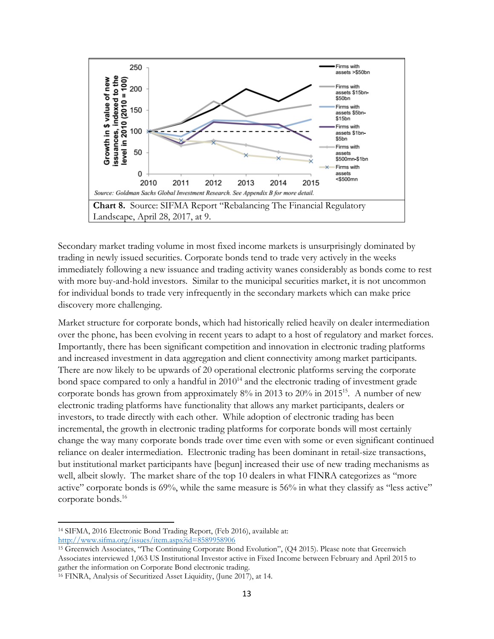

Landscape, April 28, 2017, at 9.

Secondary market trading volume in most fixed income markets is unsurprisingly dominated by trading in newly issued securities. Corporate bonds tend to trade very actively in the weeks immediately following a new issuance and trading activity wanes considerably as bonds come to rest with more buy-and-hold investors. Similar to the municipal securities market, it is not uncommon for individual bonds to trade very infrequently in the secondary markets which can make price discovery more challenging.

Market structure for corporate bonds, which had historically relied heavily on dealer intermediation over the phone, has been evolving in recent years to adapt to a host of regulatory and market forces. Importantly, there has been significant competition and innovation in electronic trading platforms and increased investment in data aggregation and client connectivity among market participants. There are now likely to be upwards of 20 operational electronic platforms serving the corporate bond space compared to only a handful in  $2010^{14}$  and the electronic trading of investment grade corporate bonds has grown from approximately 8% in 2013 to 20% in 2015<sup>15</sup>. A number of new electronic trading platforms have functionality that allows any market participants, dealers or investors, to trade directly with each other. While adoption of electronic trading has been incremental, the growth in electronic trading platforms for corporate bonds will most certainly change the way many corporate bonds trade over time even with some or even significant continued reliance on dealer intermediation. Electronic trading has been dominant in retail-size transactions, but institutional market participants have [begun] increased their use of new trading mechanisms as well, albeit slowly. The market share of the top 10 dealers in what FINRA categorizes as "more active" corporate bonds is 69%, while the same measure is 56% in what they classify as "less active" corporate bonds.<sup>16</sup>

 $\overline{\phantom{a}}$ <sup>14</sup> SIFMA, 2016 Electronic Bond Trading Report, (Feb 2016), available at: <http://www.sifma.org/issues/item.aspx?id=8589958906>

<sup>15</sup> Greenwich Associates, "The Continuing Corporate Bond Evolution", (Q4 2015). Please note that Greenwich Associates interviewed 1,063 US Institutional Investor active in Fixed Income between February and April 2015 to gather the information on Corporate Bond electronic trading.

<sup>16</sup> FINRA, Analysis of Securitized Asset Liquidity, (June 2017), at 14.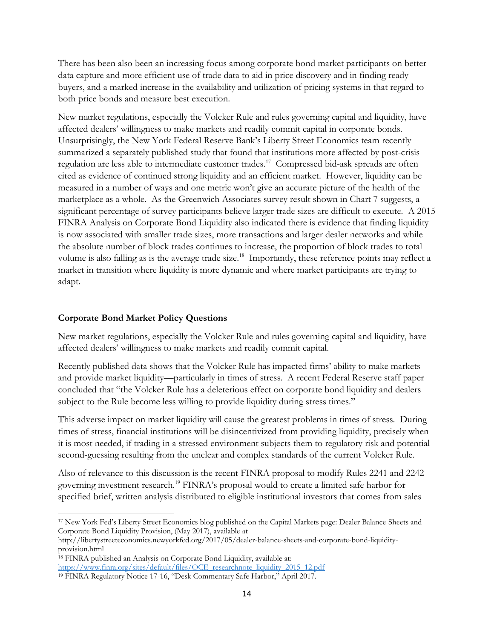There has been also been an increasing focus among corporate bond market participants on better data capture and more efficient use of trade data to aid in price discovery and in finding ready buyers, and a marked increase in the availability and utilization of pricing systems in that regard to both price bonds and measure best execution.

New market regulations, especially the Volcker Rule and rules governing capital and liquidity, have affected dealers' willingness to make markets and readily commit capital in corporate bonds. Unsurprisingly, the New York Federal Reserve Bank's Liberty Street Economics team recently summarized a separately published study that found that institutions more affected by post-crisis regulation are less able to intermediate customer trades.<sup>17</sup> Compressed bid-ask spreads are often cited as evidence of continued strong liquidity and an efficient market. However, liquidity can be measured in a number of ways and one metric won't give an accurate picture of the health of the marketplace as a whole. As the Greenwich Associates survey result shown in Chart 7 suggests, a significant percentage of survey participants believe larger trade sizes are difficult to execute. A 2015 FINRA Analysis on Corporate Bond Liquidity also indicated there is evidence that finding liquidity is now associated with smaller trade sizes, more transactions and larger dealer networks and while the absolute number of block trades continues to increase, the proportion of block trades to total volume is also falling as is the average trade size.<sup>18</sup> Importantly, these reference points may reflect a market in transition where liquidity is more dynamic and where market participants are trying to adapt.

### **Corporate Bond Market Policy Questions**

 $\overline{\phantom{a}}$ 

New market regulations, especially the Volcker Rule and rules governing capital and liquidity, have affected dealers' willingness to make markets and readily commit capital.

Recently published data shows that the Volcker Rule has impacted firms' ability to make markets and provide market liquidity—particularly in times of stress. A recent Federal Reserve staff paper concluded that "the Volcker Rule has a deleterious effect on corporate bond liquidity and dealers subject to the Rule become less willing to provide liquidity during stress times."

This adverse impact on market liquidity will cause the greatest problems in times of stress. During times of stress, financial institutions will be disincentivized from providing liquidity, precisely when it is most needed, if trading in a stressed environment subjects them to regulatory risk and potential second-guessing resulting from the unclear and complex standards of the current Volcker Rule.

Also of relevance to this discussion is the recent FINRA proposal to modify Rules 2241 and 2242 governing investment research.<sup>19</sup> FINRA's proposal would to create a limited safe harbor for specified brief, written analysis distributed to eligible institutional investors that comes from sales

<sup>17</sup> New York Fed's Liberty Street Economics blog published on the Capital Markets page: Dealer Balance Sheets and Corporate Bond Liquidity Provision, (May 2017), available at

http://libertystreeteconomics.newyorkfed.org/2017/05/dealer-balance-sheets-and-corporate-bond-liquidityprovision.html

<sup>18</sup> FINRA published an Analysis on Corporate Bond Liquidity, available at: [https://www.finra.org/sites/default/files/OCE\\_researchnote\\_liquidity\\_2015\\_12.pdf](https://www.finra.org/sites/default/files/OCE_researchnote_liquidity_2015_12.pdf)

<sup>19</sup> FINRA Regulatory Notice 17-16, "Desk Commentary Safe Harbor," April 2017.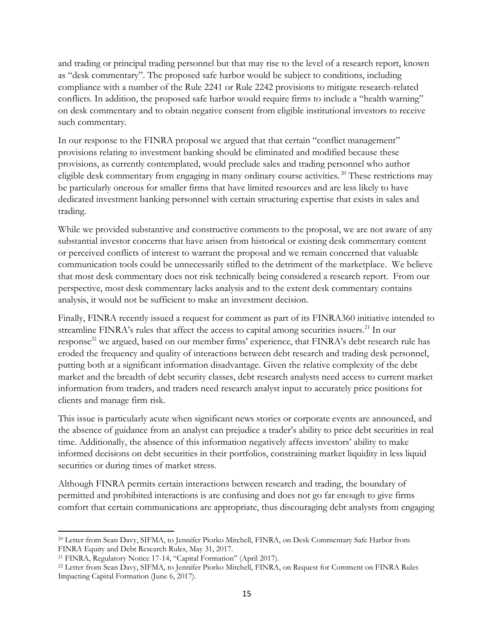and trading or principal trading personnel but that may rise to the level of a research report, known as "desk commentary". The proposed safe harbor would be subject to conditions, including compliance with a number of the Rule 2241 or Rule 2242 provisions to mitigate research-related conflicts. In addition, the proposed safe harbor would require firms to include a "health warning" on desk commentary and to obtain negative consent from eligible institutional investors to receive such commentary.

In our response to the FINRA proposal we argued that that certain "conflict management" provisions relating to investment banking should be eliminated and modified because these provisions, as currently contemplated, would preclude sales and trading personnel who author eligible desk commentary from engaging in many ordinary course activities. <sup>20</sup> These restrictions may be particularly onerous for smaller firms that have limited resources and are less likely to have dedicated investment banking personnel with certain structuring expertise that exists in sales and trading.

While we provided substantive and constructive comments to the proposal, we are not aware of any substantial investor concerns that have arisen from historical or existing desk commentary content or perceived conflicts of interest to warrant the proposal and we remain concerned that valuable communication tools could be unnecessarily stifled to the detriment of the marketplace. We believe that most desk commentary does not risk technically being considered a research report. From our perspective, most desk commentary lacks analysis and to the extent desk commentary contains analysis, it would not be sufficient to make an investment decision.

Finally, FINRA recently issued a request for comment as part of its FINRA360 initiative intended to streamline FINRA's rules that affect the access to capital among securities issuers.<sup>21</sup> In our response<sup>22</sup> we argued, based on our member firms' experience, that FINRA's debt research rule has eroded the frequency and quality of interactions between debt research and trading desk personnel, putting both at a significant information disadvantage. Given the relative complexity of the debt market and the breadth of debt security classes, debt research analysts need access to current market information from traders, and traders need research analyst input to accurately price positions for clients and manage firm risk.

This issue is particularly acute when significant news stories or corporate events are announced, and the absence of guidance from an analyst can prejudice a trader's ability to price debt securities in real time. Additionally, the absence of this information negatively affects investors' ability to make informed decisions on debt securities in their portfolios, constraining market liquidity in less liquid securities or during times of market stress.

Although FINRA permits certain interactions between research and trading, the boundary of permitted and prohibited interactions is are confusing and does not go far enough to give firms comfort that certain communications are appropriate, thus discouraging debt analysts from engaging

<sup>20</sup> Letter from Sean Davy, SIFMA, to Jennifer Piorko Mitchell, FINRA, on Desk Commentary Safe Harbor from FINRA Equity and Debt Research Rules, May 31, 2017.

<sup>21</sup> FINRA, Regulatory Notice 17-14, "Capital Formation" (April 2017).

<sup>&</sup>lt;sup>22</sup> Letter from Sean Davy, SIFMA, to Jennifer Piorko Mitchell, FINRA, on Request for Comment on FINRA Rules Impacting Capital Formation (June 6, 2017).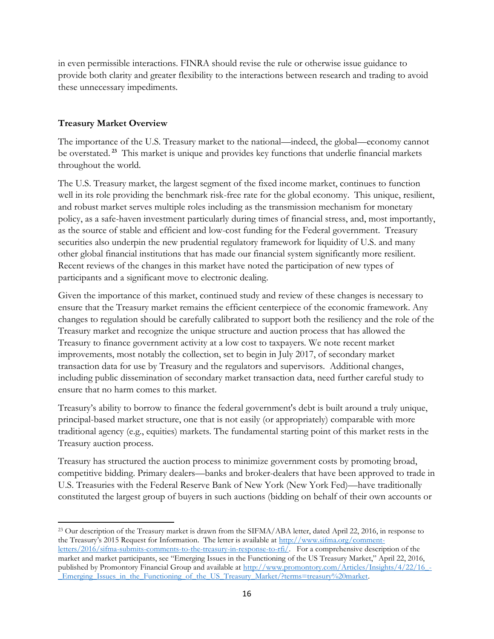in even permissible interactions. FINRA should revise the rule or otherwise issue guidance to provide both clarity and greater flexibility to the interactions between research and trading to avoid these unnecessary impediments.

### **Treasury Market Overview**

 $\overline{\phantom{a}}$ 

The importance of the U.S. Treasury market to the national—indeed, the global—economy cannot be overstated. **<sup>23</sup>** This market is unique and provides key functions that underlie financial markets throughout the world.

The U.S. Treasury market, the largest segment of the fixed income market, continues to function well in its role providing the benchmark risk-free rate for the global economy. This unique, resilient, and robust market serves multiple roles including as the transmission mechanism for monetary policy, as a safe-haven investment particularly during times of financial stress, and, most importantly, as the source of stable and efficient and low-cost funding for the Federal government. Treasury securities also underpin the new prudential regulatory framework for liquidity of U.S. and many other global financial institutions that has made our financial system significantly more resilient. Recent reviews of the changes in this market have noted the participation of new types of participants and a significant move to electronic dealing.

Given the importance of this market, continued study and review of these changes is necessary to ensure that the Treasury market remains the efficient centerpiece of the economic framework. Any changes to regulation should be carefully calibrated to support both the resiliency and the role of the Treasury market and recognize the unique structure and auction process that has allowed the Treasury to finance government activity at a low cost to taxpayers. We note recent market improvements, most notably the collection, set to begin in July 2017, of secondary market transaction data for use by Treasury and the regulators and supervisors. Additional changes, including public dissemination of secondary market transaction data, need further careful study to ensure that no harm comes to this market.

Treasury's ability to borrow to finance the federal government's debt is built around a truly unique, principal-based market structure, one that is not easily (or appropriately) comparable with more traditional agency (e.g., equities) markets. The fundamental starting point of this market rests in the Treasury auction process.

Treasury has structured the auction process to minimize government costs by promoting broad, competitive bidding. Primary dealers—banks and broker-dealers that have been approved to trade in U.S. Treasuries with the Federal Reserve Bank of New York (New York Fed)—have traditionally constituted the largest group of buyers in such auctions (bidding on behalf of their own accounts or

<sup>&</sup>lt;sup>23</sup> Our description of the Treasury market is drawn from the SIFMA/ABA letter, dated April 22, 2016, in response to the Treasury's 2015 Request for Information. The letter is available at [http://www.sifma.org/comment](http://www.sifma.org/comment-letters/2016/sifma-submits-comments-to-the-treasury-in-response-to-rfi/)[letters/2016/sifma-submits-comments-to-the-treasury-in-response-to-rfi/.](http://www.sifma.org/comment-letters/2016/sifma-submits-comments-to-the-treasury-in-response-to-rfi/) For a comprehensive description of the market and market participants, see "Emerging Issues in the Functioning of the US Treasury Market," April 22, 2016, published by Promontory Financial Group and available at [http://www.promontory.com/Articles/Insights/4/22/16\\_-](http://www.promontory.com/Articles/Insights/4/22/16_-_Emerging_Issues_in_the_Functioning_of_the_US_Treasury_Market/?terms=treasury%20market) Emerging Issues in the Functioning of the US Treasury Market/?terms=treasury%20market.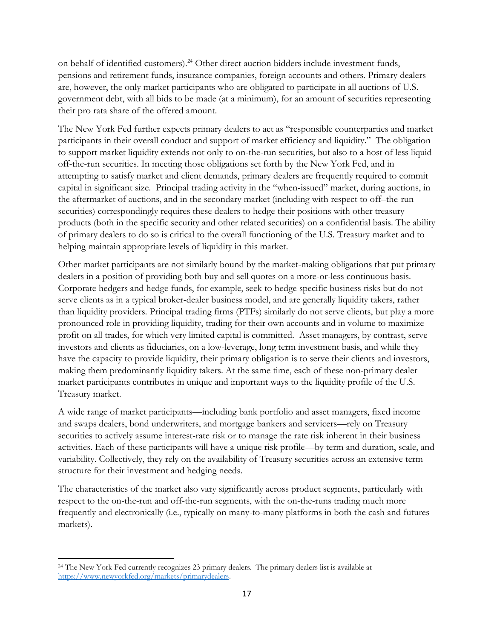on behalf of identified customers).<sup>24</sup> Other direct auction bidders include investment funds, pensions and retirement funds, insurance companies, foreign accounts and others. Primary dealers are, however, the only market participants who are obligated to participate in all auctions of U.S. government debt, with all bids to be made (at a minimum), for an amount of securities representing their pro rata share of the offered amount.

The New York Fed further expects primary dealers to act as "responsible counterparties and market participants in their overall conduct and support of market efficiency and liquidity." The obligation to support market liquidity extends not only to on-the-run securities, but also to a host of less liquid off-the-run securities. In meeting those obligations set forth by the New York Fed, and in attempting to satisfy market and client demands, primary dealers are frequently required to commit capital in significant size. Principal trading activity in the "when-issued" market, during auctions, in the aftermarket of auctions, and in the secondary market (including with respect to off–the-run securities) correspondingly requires these dealers to hedge their positions with other treasury products (both in the specific security and other related securities) on a confidential basis. The ability of primary dealers to do so is critical to the overall functioning of the U.S. Treasury market and to helping maintain appropriate levels of liquidity in this market.

Other market participants are not similarly bound by the market-making obligations that put primary dealers in a position of providing both buy and sell quotes on a more-or-less continuous basis. Corporate hedgers and hedge funds, for example, seek to hedge specific business risks but do not serve clients as in a typical broker-dealer business model, and are generally liquidity takers, rather than liquidity providers. Principal trading firms (PTFs) similarly do not serve clients, but play a more pronounced role in providing liquidity, trading for their own accounts and in volume to maximize profit on all trades, for which very limited capital is committed. Asset managers, by contrast, serve investors and clients as fiduciaries, on a low-leverage, long term investment basis, and while they have the capacity to provide liquidity, their primary obligation is to serve their clients and investors, making them predominantly liquidity takers. At the same time, each of these non-primary dealer market participants contributes in unique and important ways to the liquidity profile of the U.S. Treasury market.

A wide range of market participants—including bank portfolio and asset managers, fixed income and swaps dealers, bond underwriters, and mortgage bankers and servicers—rely on Treasury securities to actively assume interest-rate risk or to manage the rate risk inherent in their business activities. Each of these participants will have a unique risk profile—by term and duration, scale, and variability. Collectively, they rely on the availability of Treasury securities across an extensive term structure for their investment and hedging needs.

The characteristics of the market also vary significantly across product segments, particularly with respect to the on-the-run and off-the-run segments, with the on-the-runs trading much more frequently and electronically (i.e., typically on many-to-many platforms in both the cash and futures markets).

 $\overline{\phantom{a}}$ <sup>24</sup> The New York Fed currently recognizes 23 primary dealers. The primary dealers list is available at [https://www.newyorkfed.org/markets/primarydealers.](https://www.newyorkfed.org/markets/primarydealers)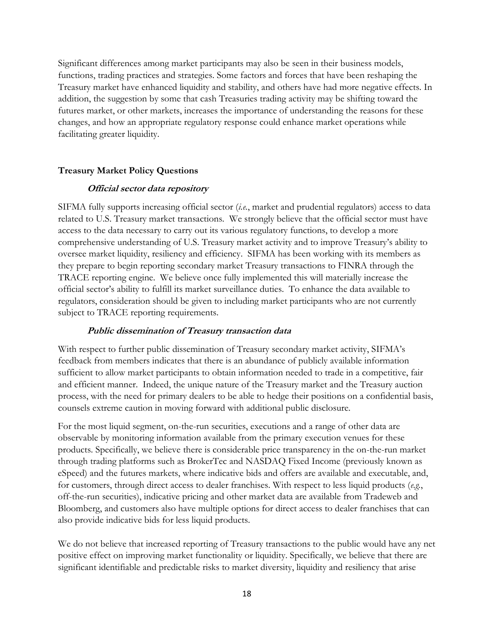Significant differences among market participants may also be seen in their business models, functions, trading practices and strategies. Some factors and forces that have been reshaping the Treasury market have enhanced liquidity and stability, and others have had more negative effects. In addition, the suggestion by some that cash Treasuries trading activity may be shifting toward the futures market, or other markets, increases the importance of understanding the reasons for these changes, and how an appropriate regulatory response could enhance market operations while facilitating greater liquidity.

#### **Treasury Market Policy Questions**

#### **Official sector data repository**

SIFMA fully supports increasing official sector (*i.e.*, market and prudential regulators) access to data related to U.S. Treasury market transactions. We strongly believe that the official sector must have access to the data necessary to carry out its various regulatory functions, to develop a more comprehensive understanding of U.S. Treasury market activity and to improve Treasury's ability to oversee market liquidity, resiliency and efficiency. SIFMA has been working with its members as they prepare to begin reporting secondary market Treasury transactions to FINRA through the TRACE reporting engine. We believe once fully implemented this will materially increase the official sector's ability to fulfill its market surveillance duties. To enhance the data available to regulators, consideration should be given to including market participants who are not currently subject to TRACE reporting requirements.

#### **Public dissemination of Treasury transaction data**

With respect to further public dissemination of Treasury secondary market activity, SIFMA's feedback from members indicates that there is an abundance of publicly available information sufficient to allow market participants to obtain information needed to trade in a competitive, fair and efficient manner. Indeed, the unique nature of the Treasury market and the Treasury auction process, with the need for primary dealers to be able to hedge their positions on a confidential basis, counsels extreme caution in moving forward with additional public disclosure.

For the most liquid segment, on-the-run securities, executions and a range of other data are observable by monitoring information available from the primary execution venues for these products. Specifically, we believe there is considerable price transparency in the on-the-run market through trading platforms such as BrokerTec and NASDAQ Fixed Income (previously known as eSpeed) and the futures markets, where indicative bids and offers are available and executable, and, for customers, through direct access to dealer franchises. With respect to less liquid products (*e.g.*, off-the-run securities), indicative pricing and other market data are available from Tradeweb and Bloomberg, and customers also have multiple options for direct access to dealer franchises that can also provide indicative bids for less liquid products.

We do not believe that increased reporting of Treasury transactions to the public would have any net positive effect on improving market functionality or liquidity. Specifically, we believe that there are significant identifiable and predictable risks to market diversity, liquidity and resiliency that arise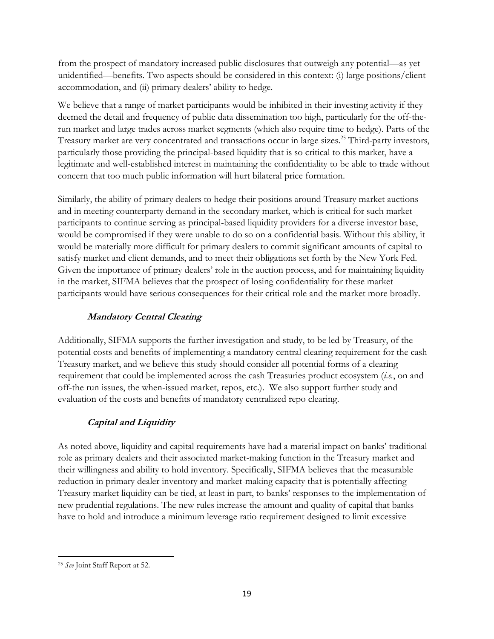from the prospect of mandatory increased public disclosures that outweigh any potential—as yet unidentified—benefits. Two aspects should be considered in this context: (i) large positions/client accommodation, and (ii) primary dealers' ability to hedge.

We believe that a range of market participants would be inhibited in their investing activity if they deemed the detail and frequency of public data dissemination too high, particularly for the off-therun market and large trades across market segments (which also require time to hedge). Parts of the Treasury market are very concentrated and transactions occur in large sizes.<sup>25</sup> Third-party investors, particularly those providing the principal-based liquidity that is so critical to this market, have a legitimate and well-established interest in maintaining the confidentiality to be able to trade without concern that too much public information will hurt bilateral price formation.

Similarly, the ability of primary dealers to hedge their positions around Treasury market auctions and in meeting counterparty demand in the secondary market, which is critical for such market participants to continue serving as principal-based liquidity providers for a diverse investor base, would be compromised if they were unable to do so on a confidential basis. Without this ability, it would be materially more difficult for primary dealers to commit significant amounts of capital to satisfy market and client demands, and to meet their obligations set forth by the New York Fed. Given the importance of primary dealers' role in the auction process, and for maintaining liquidity in the market, SIFMA believes that the prospect of losing confidentiality for these market participants would have serious consequences for their critical role and the market more broadly.

# **Mandatory Central Clearing**

Additionally, SIFMA supports the further investigation and study, to be led by Treasury, of the potential costs and benefits of implementing a mandatory central clearing requirement for the cash Treasury market, and we believe this study should consider all potential forms of a clearing requirement that could be implemented across the cash Treasuries product ecosystem (*i.e.*, on and off-the run issues, the when-issued market, repos, etc.). We also support further study and evaluation of the costs and benefits of mandatory centralized repo clearing.

# **Capital and Liquidity**

As noted above, liquidity and capital requirements have had a material impact on banks' traditional role as primary dealers and their associated market-making function in the Treasury market and their willingness and ability to hold inventory. Specifically, SIFMA believes that the measurable reduction in primary dealer inventory and market-making capacity that is potentially affecting Treasury market liquidity can be tied, at least in part, to banks' responses to the implementation of new prudential regulations. The new rules increase the amount and quality of capital that banks have to hold and introduce a minimum leverage ratio requirement designed to limit excessive

l <sup>25</sup> *See* Joint Staff Report at 52.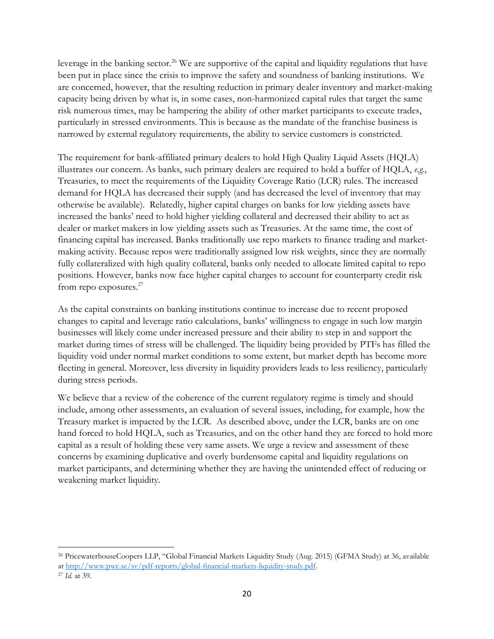leverage in the banking sector.<sup>26</sup> We are supportive of the capital and liquidity regulations that have been put in place since the crisis to improve the safety and soundness of banking institutions. We are concerned, however, that the resulting reduction in primary dealer inventory and market-making capacity being driven by what is, in some cases, non-harmonized capital rules that target the same risk numerous times, may be hampering the ability of other market participants to execute trades, particularly in stressed environments. This is because as the mandate of the franchise business is narrowed by external regulatory requirements, the ability to service customers is constricted.

The requirement for bank-affiliated primary dealers to hold High Quality Liquid Assets (HQLA) illustrates our concern. As banks, such primary dealers are required to hold a buffer of HQLA, *e.g.*, Treasuries, to meet the requirements of the Liquidity Coverage Ratio (LCR) rules. The increased demand for HQLA has decreased their supply (and has decreased the level of inventory that may otherwise be available). Relatedly, higher capital charges on banks for low yielding assets have increased the banks' need to hold higher yielding collateral and decreased their ability to act as dealer or market makers in low yielding assets such as Treasuries. At the same time, the cost of financing capital has increased. Banks traditionally use repo markets to finance trading and marketmaking activity. Because repos were traditionally assigned low risk weights, since they are normally fully collateralized with high quality collateral, banks only needed to allocate limited capital to repo positions. However, banks now face higher capital charges to account for counterparty credit risk from repo exposures.<sup>27</sup>

As the capital constraints on banking institutions continue to increase due to recent proposed changes to capital and leverage ratio calculations, banks' willingness to engage in such low margin businesses will likely come under increased pressure and their ability to step in and support the market during times of stress will be challenged. The liquidity being provided by PTFs has filled the liquidity void under normal market conditions to some extent, but market depth has become more fleeting in general. Moreover, less diversity in liquidity providers leads to less resiliency, particularly during stress periods.

We believe that a review of the coherence of the current regulatory regime is timely and should include, among other assessments, an evaluation of several issues, including, for example, how the Treasury market is impacted by the LCR. As described above, under the LCR, banks are on one hand forced to hold HQLA, such as Treasuries, and on the other hand they are forced to hold more capital as a result of holding these very same assets. We urge a review and assessment of these concerns by examining duplicative and overly burdensome capital and liquidity regulations on market participants, and determining whether they are having the unintended effect of reducing or weakening market liquidity.

l

<sup>26</sup> PricewaterhouseCoopers LLP, "Global Financial Markets Liquidity Study (Aug. 2015) (GFMA Study) at 36, available a[t http://www.pwc.se/sv/pdf-reports/global-financial-markets-liquidity-study.pdf.](http://www.pwc.se/sv/pdf-reports/global-financial-markets-liquidity-study.pdf) 

<sup>27</sup> *Id.* at 39.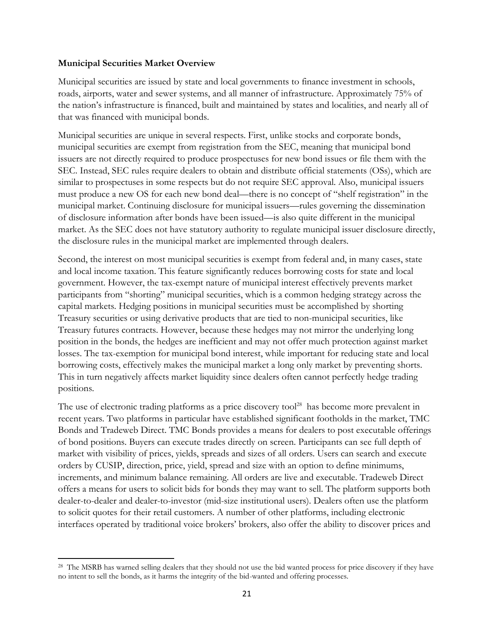#### **Municipal Securities Market Overview**

 $\overline{\phantom{a}}$ 

Municipal securities are issued by state and local governments to finance investment in schools, roads, airports, water and sewer systems, and all manner of infrastructure. Approximately 75% of the nation's infrastructure is financed, built and maintained by states and localities, and nearly all of that was financed with municipal bonds.

Municipal securities are unique in several respects. First, unlike stocks and corporate bonds, municipal securities are exempt from registration from the SEC, meaning that municipal bond issuers are not directly required to produce prospectuses for new bond issues or file them with the SEC. Instead, SEC rules require dealers to obtain and distribute official statements (OSs), which are similar to prospectuses in some respects but do not require SEC approval. Also, municipal issuers must produce a new OS for each new bond deal—there is no concept of "shelf registration" in the municipal market. Continuing disclosure for municipal issuers—rules governing the dissemination of disclosure information after bonds have been issued—is also quite different in the municipal market. As the SEC does not have statutory authority to regulate municipal issuer disclosure directly, the disclosure rules in the municipal market are implemented through dealers.

Second, the interest on most municipal securities is exempt from federal and, in many cases, state and local income taxation. This feature significantly reduces borrowing costs for state and local government. However, the tax-exempt nature of municipal interest effectively prevents market participants from "shorting" municipal securities, which is a common hedging strategy across the capital markets. Hedging positions in municipal securities must be accomplished by shorting Treasury securities or using derivative products that are tied to non-municipal securities, like Treasury futures contracts. However, because these hedges may not mirror the underlying long position in the bonds, the hedges are inefficient and may not offer much protection against market losses. The tax-exemption for municipal bond interest, while important for reducing state and local borrowing costs, effectively makes the municipal market a long only market by preventing shorts. This in turn negatively affects market liquidity since dealers often cannot perfectly hedge trading positions.

The use of electronic trading platforms as a price discovery tool<sup>28</sup> has become more prevalent in recent years. Two platforms in particular have established significant footholds in the market, TMC Bonds and Tradeweb Direct. TMC Bonds provides a means for dealers to post executable offerings of bond positions. Buyers can execute trades directly on screen. Participants can see full depth of market with visibility of prices, yields, spreads and sizes of all orders. Users can search and execute orders by CUSIP, direction, price, yield, spread and size with an option to define minimums, increments, and minimum balance remaining. All orders are live and executable. Tradeweb Direct offers a means for users to solicit bids for bonds they may want to sell. The platform supports both dealer-to-dealer and dealer-to-investor (mid-size institutional users). Dealers often use the platform to solicit quotes for their retail customers. A number of other platforms, including electronic interfaces operated by traditional voice brokers' brokers, also offer the ability to discover prices and

<sup>&</sup>lt;sup>28</sup> The MSRB has warned selling dealers that they should not use the bid wanted process for price discovery if they have no intent to sell the bonds, as it harms the integrity of the bid-wanted and offering processes.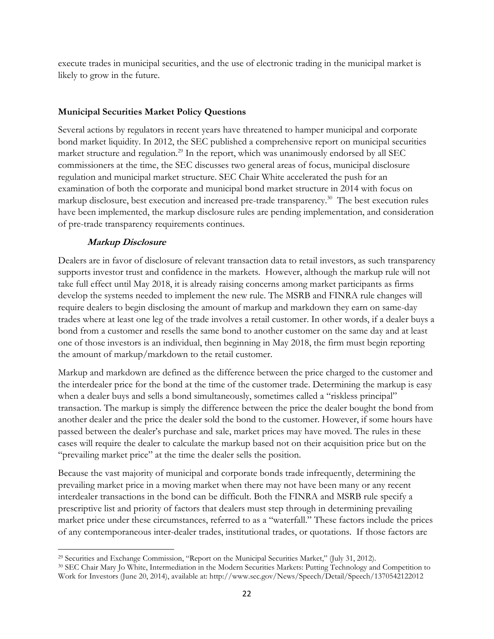execute trades in municipal securities, and the use of electronic trading in the municipal market is likely to grow in the future.

#### **Municipal Securities Market Policy Questions**

Several actions by regulators in recent years have threatened to hamper municipal and corporate bond market liquidity. In 2012, the SEC published a comprehensive report on municipal securities market structure and regulation.<sup>29</sup> In the report, which was unanimously endorsed by all SEC commissioners at the time, the SEC discusses two general areas of focus, municipal disclosure regulation and municipal market structure. SEC Chair White accelerated the push for an examination of both the corporate and municipal bond market structure in 2014 with focus on markup disclosure, best execution and increased pre-trade transparency.<sup>30</sup> The best execution rules have been implemented, the markup disclosure rules are pending implementation, and consideration of pre-trade transparency requirements continues.

### **Markup Disclosure**

Dealers are in favor of disclosure of relevant transaction data to retail investors, as such transparency supports investor trust and confidence in the markets. However, although the markup rule will not take full effect until May 2018, it is already raising concerns among market participants as firms develop the systems needed to implement the new rule. The MSRB and FINRA rule changes will require dealers to begin disclosing the amount of markup and markdown they earn on same-day trades where at least one leg of the trade involves a retail customer. In other words, if a dealer buys a bond from a customer and resells the same bond to another customer on the same day and at least one of those investors is an individual, then beginning in May 2018, the firm must begin reporting the amount of markup/markdown to the retail customer.

Markup and markdown are defined as the difference between the price charged to the customer and the interdealer price for the bond at the time of the customer trade. Determining the markup is easy when a dealer buys and sells a bond simultaneously, sometimes called a "riskless principal" transaction. The markup is simply the difference between the price the dealer bought the bond from another dealer and the price the dealer sold the bond to the customer. However, if some hours have passed between the dealer's purchase and sale, market prices may have moved. The rules in these cases will require the dealer to calculate the markup based not on their acquisition price but on the "prevailing market price" at the time the dealer sells the position.

Because the vast majority of municipal and corporate bonds trade infrequently, determining the prevailing market price in a moving market when there may not have been many or any recent interdealer transactions in the bond can be difficult. Both the FINRA and MSRB rule specify a prescriptive list and priority of factors that dealers must step through in determining prevailing market price under these circumstances, referred to as a "waterfall." These factors include the prices of any contemporaneous inter-dealer trades, institutional trades, or quotations. If those factors are

 $\overline{\phantom{a}}$ <sup>29</sup> Securities and Exchange Commission, "Report on the Municipal Securities Market," (July 31, 2012).

<sup>30</sup> SEC Chair Mary Jo White, Intermediation in the Modern Securities Markets: Putting Technology and Competition to Work for Investors (June 20, 2014), available at: http://www.sec.gov/News/Speech/Detail/Speech/1370542122012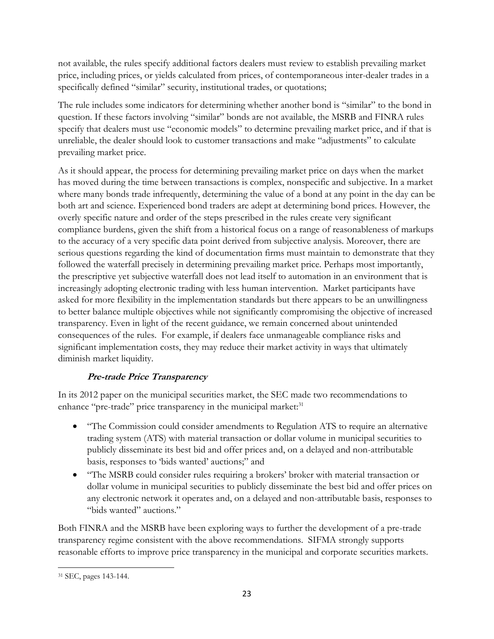not available, the rules specify additional factors dealers must review to establish prevailing market price, including prices, or yields calculated from prices, of contemporaneous inter-dealer trades in a specifically defined "similar" security, institutional trades, or quotations;

The rule includes some indicators for determining whether another bond is "similar" to the bond in question. If these factors involving "similar" bonds are not available, the MSRB and FINRA rules specify that dealers must use "economic models" to determine prevailing market price, and if that is unreliable, the dealer should look to customer transactions and make "adjustments" to calculate prevailing market price.

As it should appear, the process for determining prevailing market price on days when the market has moved during the time between transactions is complex, nonspecific and subjective. In a market where many bonds trade infrequently, determining the value of a bond at any point in the day can be both art and science. Experienced bond traders are adept at determining bond prices. However, the overly specific nature and order of the steps prescribed in the rules create very significant compliance burdens, given the shift from a historical focus on a range of reasonableness of markups to the accuracy of a very specific data point derived from subjective analysis. Moreover, there are serious questions regarding the kind of documentation firms must maintain to demonstrate that they followed the waterfall precisely in determining prevailing market price. Perhaps most importantly, the prescriptive yet subjective waterfall does not lead itself to automation in an environment that is increasingly adopting electronic trading with less human intervention. Market participants have asked for more flexibility in the implementation standards but there appears to be an unwillingness to better balance multiple objectives while not significantly compromising the objective of increased transparency. Even in light of the recent guidance, we remain concerned about unintended consequences of the rules. For example, if dealers face unmanageable compliance risks and significant implementation costs, they may reduce their market activity in ways that ultimately diminish market liquidity.

## **Pre-trade Price Transparency**

In its 2012 paper on the municipal securities market, the SEC made two recommendations to enhance "pre-trade" price transparency in the municipal market:<sup>31</sup>

- "The Commission could consider amendments to Regulation ATS to require an alternative trading system (ATS) with material transaction or dollar volume in municipal securities to publicly disseminate its best bid and offer prices and, on a delayed and non-attributable basis, responses to 'bids wanted' auctions;" and
- "The MSRB could consider rules requiring a brokers' broker with material transaction or dollar volume in municipal securities to publicly disseminate the best bid and offer prices on any electronic network it operates and, on a delayed and non-attributable basis, responses to "bids wanted" auctions."

Both FINRA and the MSRB have been exploring ways to further the development of a pre-trade transparency regime consistent with the above recommendations. SIFMA strongly supports reasonable efforts to improve price transparency in the municipal and corporate securities markets.

 $\overline{\phantom{a}}$ <sup>31</sup> SEC, pages 143-144.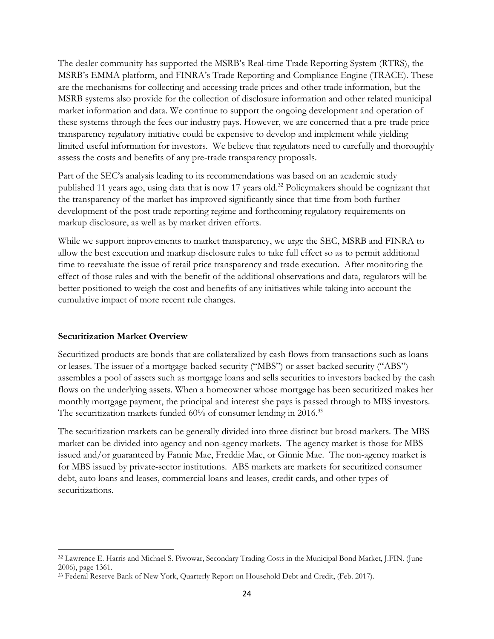The dealer community has supported the MSRB's Real-time Trade Reporting System (RTRS), the MSRB's EMMA platform, and FINRA's Trade Reporting and Compliance Engine (TRACE). These are the mechanisms for collecting and accessing trade prices and other trade information, but the MSRB systems also provide for the collection of disclosure information and other related municipal market information and data. We continue to support the ongoing development and operation of these systems through the fees our industry pays. However, we are concerned that a pre-trade price transparency regulatory initiative could be expensive to develop and implement while yielding limited useful information for investors. We believe that regulators need to carefully and thoroughly assess the costs and benefits of any pre-trade transparency proposals.

Part of the SEC's analysis leading to its recommendations was based on an academic study published 11 years ago, using data that is now 17 years old.<sup>32</sup> Policymakers should be cognizant that the transparency of the market has improved significantly since that time from both further development of the post trade reporting regime and forthcoming regulatory requirements on markup disclosure, as well as by market driven efforts.

While we support improvements to market transparency, we urge the SEC, MSRB and FINRA to allow the best execution and markup disclosure rules to take full effect so as to permit additional time to reevaluate the issue of retail price transparency and trade execution. After monitoring the effect of those rules and with the benefit of the additional observations and data, regulators will be better positioned to weigh the cost and benefits of any initiatives while taking into account the cumulative impact of more recent rule changes.

#### **Securitization Market Overview**

 $\overline{\phantom{a}}$ 

Securitized products are bonds that are collateralized by cash flows from transactions such as loans or leases. The issuer of a mortgage-backed security ("MBS") or asset-backed security ("ABS") assembles a pool of assets such as mortgage loans and sells securities to investors backed by the cash flows on the underlying assets. When a homeowner whose mortgage has been securitized makes her monthly mortgage payment, the principal and interest she pays is passed through to MBS investors. The securitization markets funded 60% of consumer lending in 2016.<sup>33</sup>

The securitization markets can be generally divided into three distinct but broad markets. The MBS market can be divided into agency and non-agency markets. The agency market is those for MBS issued and/or guaranteed by Fannie Mae, Freddie Mac, or Ginnie Mae. The non-agency market is for MBS issued by private-sector institutions. ABS markets are markets for securitized consumer debt, auto loans and leases, commercial loans and leases, credit cards, and other types of securitizations.

<sup>32</sup> Lawrence E. Harris and Michael S. Piwowar, Secondary Trading Costs in the Municipal Bond Market, J.FIN. (June 2006), page 1361.

<sup>33</sup> Federal Reserve Bank of New York, Quarterly Report on Household Debt and Credit, (Feb. 2017).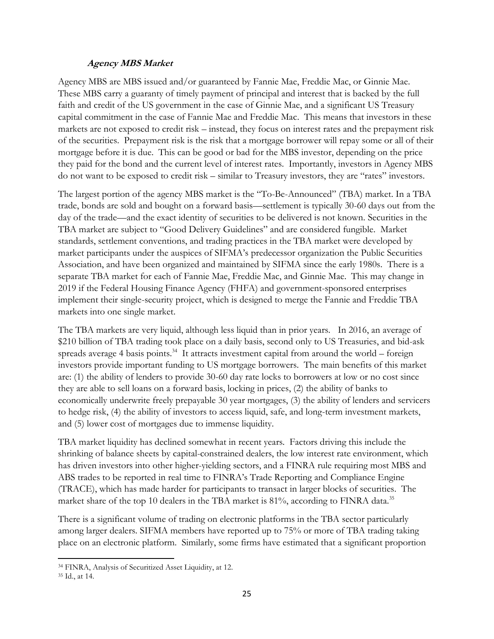#### **Agency MBS Market**

Agency MBS are MBS issued and/or guaranteed by Fannie Mae, Freddie Mac, or Ginnie Mae. These MBS carry a guaranty of timely payment of principal and interest that is backed by the full faith and credit of the US government in the case of Ginnie Mae, and a significant US Treasury capital commitment in the case of Fannie Mae and Freddie Mac. This means that investors in these markets are not exposed to credit risk – instead, they focus on interest rates and the prepayment risk of the securities. Prepayment risk is the risk that a mortgage borrower will repay some or all of their mortgage before it is due. This can be good or bad for the MBS investor, depending on the price they paid for the bond and the current level of interest rates. Importantly, investors in Agency MBS do not want to be exposed to credit risk – similar to Treasury investors, they are "rates" investors.

The largest portion of the agency MBS market is the "To-Be-Announced" (TBA) market. In a TBA trade, bonds are sold and bought on a forward basis—settlement is typically 30-60 days out from the day of the trade—and the exact identity of securities to be delivered is not known. Securities in the TBA market are subject to "Good Delivery Guidelines" and are considered fungible. Market standards, settlement conventions, and trading practices in the TBA market were developed by market participants under the auspices of SIFMA's predecessor organization the Public Securities Association, and have been organized and maintained by SIFMA since the early 1980s. There is a separate TBA market for each of Fannie Mae, Freddie Mac, and Ginnie Mae. This may change in 2019 if the Federal Housing Finance Agency (FHFA) and government-sponsored enterprises implement their single-security project, which is designed to merge the Fannie and Freddie TBA markets into one single market.

The TBA markets are very liquid, although less liquid than in prior years. In 2016, an average of \$210 billion of TBA trading took place on a daily basis, second only to US Treasuries, and bid-ask spreads average 4 basis points.<sup>34</sup> It attracts investment capital from around the world – foreign investors provide important funding to US mortgage borrowers. The main benefits of this market are: (1) the ability of lenders to provide 30-60 day rate locks to borrowers at low or no cost since they are able to sell loans on a forward basis, locking in prices, (2) the ability of banks to economically underwrite freely prepayable 30 year mortgages, (3) the ability of lenders and servicers to hedge risk, (4) the ability of investors to access liquid, safe, and long-term investment markets, and (5) lower cost of mortgages due to immense liquidity.

TBA market liquidity has declined somewhat in recent years. Factors driving this include the shrinking of balance sheets by capital-constrained dealers, the low interest rate environment, which has driven investors into other higher-yielding sectors, and a FINRA rule requiring most MBS and ABS trades to be reported in real time to FINRA's Trade Reporting and Compliance Engine (TRACE), which has made harder for participants to transact in larger blocks of securities. The market share of the top 10 dealers in the TBA market is 81%, according to FINRA data.<sup>35</sup>

There is a significant volume of trading on electronic platforms in the TBA sector particularly among larger dealers. SIFMA members have reported up to 75% or more of TBA trading taking place on an electronic platform. Similarly, some firms have estimated that a significant proportion

<sup>34</sup> FINRA, Analysis of Securitized Asset Liquidity, at 12.

<sup>35</sup> Id., at 14.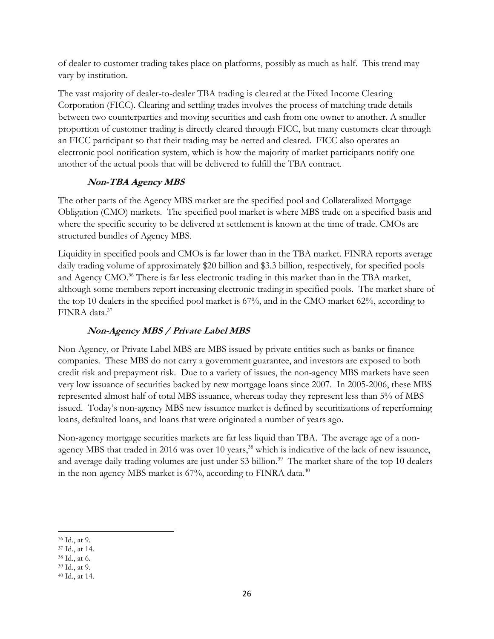of dealer to customer trading takes place on platforms, possibly as much as half. This trend may vary by institution.

The vast majority of dealer-to-dealer TBA trading is cleared at the Fixed Income Clearing Corporation (FICC). Clearing and settling trades involves the process of matching trade details between two counterparties and moving securities and cash from one owner to another. A smaller proportion of customer trading is directly cleared through FICC, but many customers clear through an FICC participant so that their trading may be netted and cleared. FICC also operates an electronic pool notification system, which is how the majority of market participants notify one another of the actual pools that will be delivered to fulfill the TBA contract.

# **Non-TBA Agency MBS**

The other parts of the Agency MBS market are the specified pool and Collateralized Mortgage Obligation (CMO) markets. The specified pool market is where MBS trade on a specified basis and where the specific security to be delivered at settlement is known at the time of trade. CMOs are structured bundles of Agency MBS.

Liquidity in specified pools and CMOs is far lower than in the TBA market. FINRA reports average daily trading volume of approximately \$20 billion and \$3.3 billion, respectively, for specified pools and Agency CMO.<sup>36</sup> There is far less electronic trading in this market than in the TBA market, although some members report increasing electronic trading in specified pools. The market share of the top 10 dealers in the specified pool market is 67%, and in the CMO market 62%, according to FINRA data.<sup>37</sup>

## **Non-Agency MBS / Private Label MBS**

Non-Agency, or Private Label MBS are MBS issued by private entities such as banks or finance companies. These MBS do not carry a government guarantee, and investors are exposed to both credit risk and prepayment risk. Due to a variety of issues, the non-agency MBS markets have seen very low issuance of securities backed by new mortgage loans since 2007. In 2005-2006, these MBS represented almost half of total MBS issuance, whereas today they represent less than 5% of MBS issued. Today's non-agency MBS new issuance market is defined by securitizations of reperforming loans, defaulted loans, and loans that were originated a number of years ago.

Non-agency mortgage securities markets are far less liquid than TBA. The average age of a nonagency MBS that traded in 2016 was over 10 years,<sup>38</sup> which is indicative of the lack of new issuance, and average daily trading volumes are just under \$3 billion.<sup>39</sup> The market share of the top 10 dealers in the non-agency MBS market is 67%, according to FINRA data.<sup>40</sup>

 $\overline{\phantom{a}}$ <sup>36</sup> Id., at 9.

<sup>37</sup> Id., at 14.

<sup>38</sup> Id., at 6.

<sup>39</sup> Id., at 9.

<sup>40</sup> Id., at 14.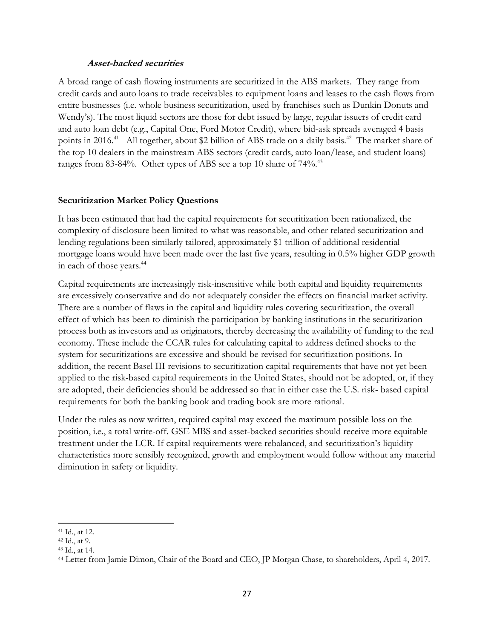#### **Asset-backed securities**

A broad range of cash flowing instruments are securitized in the ABS markets. They range from credit cards and auto loans to trade receivables to equipment loans and leases to the cash flows from entire businesses (i.e. whole business securitization, used by franchises such as Dunkin Donuts and Wendy's). The most liquid sectors are those for debt issued by large, regular issuers of credit card and auto loan debt (e.g., Capital One, Ford Motor Credit), where bid-ask spreads averaged 4 basis points in 2016.<sup>41</sup> All together, about \$2 billion of ABS trade on a daily basis.<sup>42</sup> The market share of the top 10 dealers in the mainstream ABS sectors (credit cards, auto loan/lease, and student loans) ranges from 83-84%. Other types of ABS see a top 10 share of 74%.<sup>43</sup>

#### **Securitization Market Policy Questions**

It has been estimated that had the capital requirements for securitization been rationalized, the complexity of disclosure been limited to what was reasonable, and other related securitization and lending regulations been similarly tailored, approximately \$1 trillion of additional residential mortgage loans would have been made over the last five years, resulting in 0.5% higher GDP growth in each of those years.<sup>44</sup>

Capital requirements are increasingly risk-insensitive while both capital and liquidity requirements are excessively conservative and do not adequately consider the effects on financial market activity. There are a number of flaws in the capital and liquidity rules covering securitization, the overall effect of which has been to diminish the participation by banking institutions in the securitization process both as investors and as originators, thereby decreasing the availability of funding to the real economy. These include the CCAR rules for calculating capital to address defined shocks to the system for securitizations are excessive and should be revised for securitization positions. In addition, the recent Basel III revisions to securitization capital requirements that have not yet been applied to the risk-based capital requirements in the United States, should not be adopted, or, if they are adopted, their deficiencies should be addressed so that in either case the U.S. risk- based capital requirements for both the banking book and trading book are more rational.

Under the rules as now written, required capital may exceed the maximum possible loss on the position, i.e., a total write-off. GSE MBS and asset-backed securities should receive more equitable treatment under the LCR. If capital requirements were rebalanced, and securitization's liquidity characteristics more sensibly recognized, growth and employment would follow without any material diminution in safety or liquidity.

<sup>41</sup> Id., at 12.

<sup>42</sup> Id., at 9.

<sup>43</sup> Id., at 14.

<sup>44</sup> Letter from Jamie Dimon, Chair of the Board and CEO, JP Morgan Chase, to shareholders, April 4, 2017.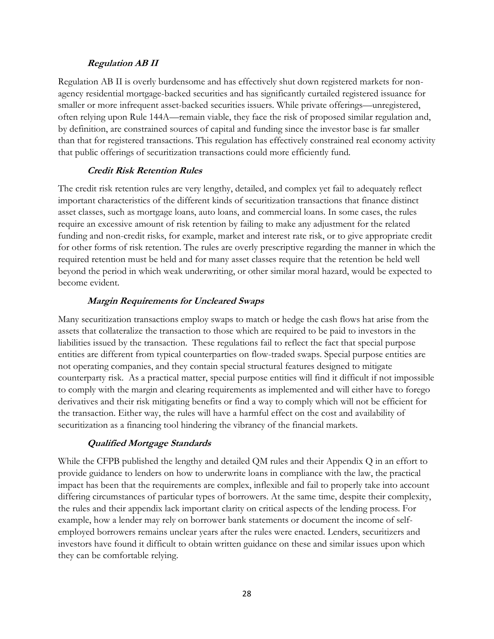#### **Regulation AB II**

Regulation AB II is overly burdensome and has effectively shut down registered markets for nonagency residential mortgage-backed securities and has significantly curtailed registered issuance for smaller or more infrequent asset-backed securities issuers. While private offerings—unregistered, often relying upon Rule 144A—remain viable, they face the risk of proposed similar regulation and, by definition, are constrained sources of capital and funding since the investor base is far smaller than that for registered transactions. This regulation has effectively constrained real economy activity that public offerings of securitization transactions could more efficiently fund.

#### **Credit Risk Retention Rules**

The credit risk retention rules are very lengthy, detailed, and complex yet fail to adequately reflect important characteristics of the different kinds of securitization transactions that finance distinct asset classes, such as mortgage loans, auto loans, and commercial loans. In some cases, the rules require an excessive amount of risk retention by failing to make any adjustment for the related funding and non-credit risks, for example, market and interest rate risk, or to give appropriate credit for other forms of risk retention. The rules are overly prescriptive regarding the manner in which the required retention must be held and for many asset classes require that the retention be held well beyond the period in which weak underwriting, or other similar moral hazard, would be expected to become evident.

### **Margin Requirements for Uncleared Swaps**

Many securitization transactions employ swaps to match or hedge the cash flows hat arise from the assets that collateralize the transaction to those which are required to be paid to investors in the liabilities issued by the transaction. These regulations fail to reflect the fact that special purpose entities are different from typical counterparties on flow-traded swaps. Special purpose entities are not operating companies, and they contain special structural features designed to mitigate counterparty risk. As a practical matter, special purpose entities will find it difficult if not impossible to comply with the margin and clearing requirements as implemented and will either have to forego derivatives and their risk mitigating benefits or find a way to comply which will not be efficient for the transaction. Either way, the rules will have a harmful effect on the cost and availability of securitization as a financing tool hindering the vibrancy of the financial markets.

#### **Qualified Mortgage Standards**

While the CFPB published the lengthy and detailed QM rules and their Appendix Q in an effort to provide guidance to lenders on how to underwrite loans in compliance with the law, the practical impact has been that the requirements are complex, inflexible and fail to properly take into account differing circumstances of particular types of borrowers. At the same time, despite their complexity, the rules and their appendix lack important clarity on critical aspects of the lending process. For example, how a lender may rely on borrower bank statements or document the income of selfemployed borrowers remains unclear years after the rules were enacted. Lenders, securitizers and investors have found it difficult to obtain written guidance on these and similar issues upon which they can be comfortable relying.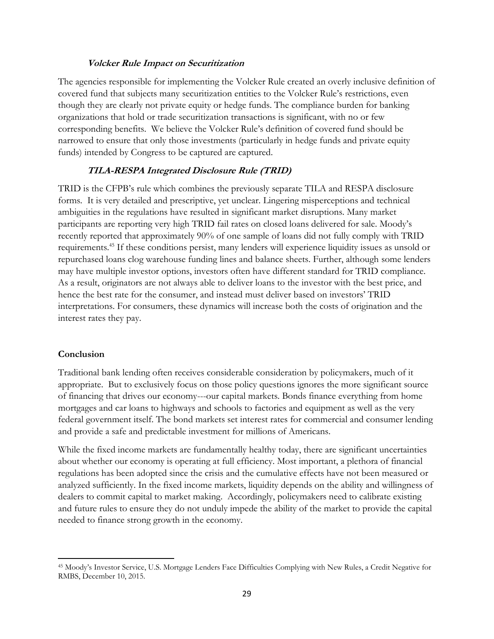#### **Volcker Rule Impact on Securitization**

The agencies responsible for implementing the Volcker Rule created an overly inclusive definition of covered fund that subjects many securitization entities to the Volcker Rule's restrictions, even though they are clearly not private equity or hedge funds. The compliance burden for banking organizations that hold or trade securitization transactions is significant, with no or few corresponding benefits. We believe the Volcker Rule's definition of covered fund should be narrowed to ensure that only those investments (particularly in hedge funds and private equity funds) intended by Congress to be captured are captured.

#### **TILA-RESPA Integrated Disclosure Rule (TRID)**

TRID is the CFPB's rule which combines the previously separate TILA and RESPA disclosure forms. It is very detailed and prescriptive, yet unclear. Lingering misperceptions and technical ambiguities in the regulations have resulted in significant market disruptions. Many market participants are reporting very high TRID fail rates on closed loans delivered for sale. Moody's recently reported that approximately 90% of one sample of loans did not fully comply with TRID requirements.<sup>45</sup> If these conditions persist, many lenders will experience liquidity issues as unsold or repurchased loans clog warehouse funding lines and balance sheets. Further, although some lenders may have multiple investor options, investors often have different standard for TRID compliance. As a result, originators are not always able to deliver loans to the investor with the best price, and hence the best rate for the consumer, and instead must deliver based on investors' TRID interpretations. For consumers, these dynamics will increase both the costs of origination and the interest rates they pay.

#### **Conclusion**

 $\overline{\phantom{a}}$ 

Traditional bank lending often receives considerable consideration by policymakers, much of it appropriate. But to exclusively focus on those policy questions ignores the more significant source of financing that drives our economy---our capital markets. Bonds finance everything from home mortgages and car loans to highways and schools to factories and equipment as well as the very federal government itself. The bond markets set interest rates for commercial and consumer lending and provide a safe and predictable investment for millions of Americans.

While the fixed income markets are fundamentally healthy today, there are significant uncertainties about whether our economy is operating at full efficiency. Most important, a plethora of financial regulations has been adopted since the crisis and the cumulative effects have not been measured or analyzed sufficiently. In the fixed income markets, liquidity depends on the ability and willingness of dealers to commit capital to market making. Accordingly, policymakers need to calibrate existing and future rules to ensure they do not unduly impede the ability of the market to provide the capital needed to finance strong growth in the economy.

<sup>45</sup> Moody's Investor Service, U.S. Mortgage Lenders Face Difficulties Complying with New Rules, a Credit Negative for RMBS, December 10, 2015.